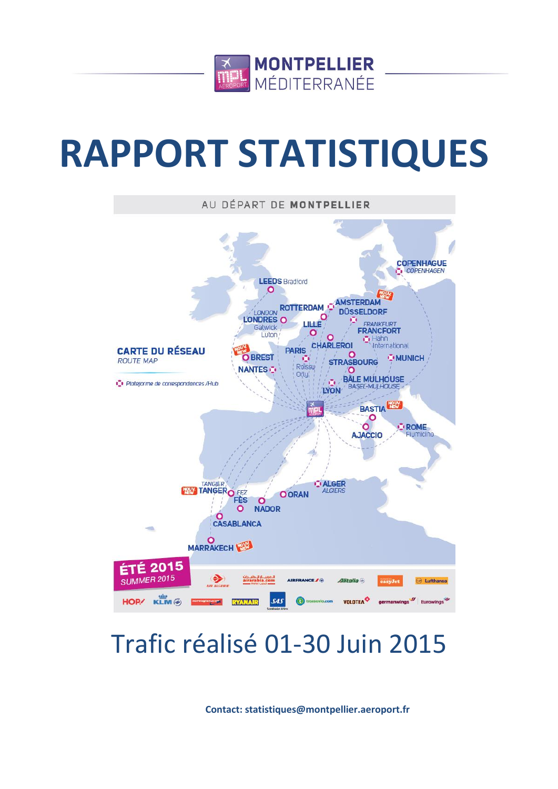

# **RAPPORT STATISTIQUES**



# Trafic réalisé 01-30 Juin 2015

**Contact: statistiques@montpellier.aeroport.fr**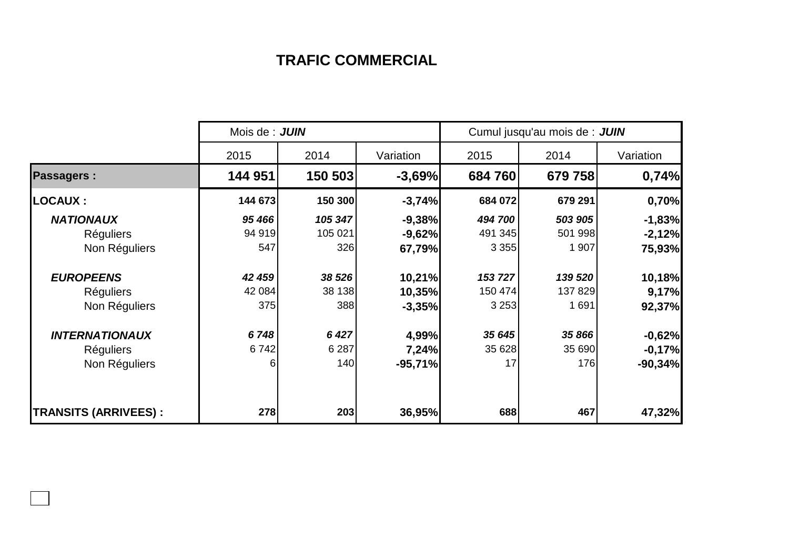## **TRAFIC COMMERCIAL**

|                             | Mois de : JUIN |         |           | Cumul jusqu'au mois de : JUIN |         |           |  |
|-----------------------------|----------------|---------|-----------|-------------------------------|---------|-----------|--|
|                             | 2015           | 2014    | Variation | 2015                          | 2014    | Variation |  |
| <b>Passagers:</b>           | 144 951        | 150 503 | $-3,69%$  | 684760                        | 679 758 | 0,74%     |  |
| <b>LOCAUX :</b>             | 144 673        | 150 300 | $-3,74%$  | 684 072                       | 679 291 | 0,70%     |  |
| <b>NATIONAUX</b>            | 95 466         | 105 347 | $-9,38%$  | 494 700                       | 503 905 | $-1,83%$  |  |
| <b>Réguliers</b>            | 94 919         | 105 021 | $-9,62%$  | 491 345                       | 501 998 | $-2,12%$  |  |
| Non Réguliers               | 547            | 326     | 67,79%    | 3 3 5 5                       | 1 907   | 75,93%    |  |
| <b>EUROPEENS</b>            | 42 459         | 38 526  | 10,21%    | 153 727                       | 139 520 | 10,18%    |  |
| <b>Réguliers</b>            | 42 084         | 38 138  | 10,35%    | 150 474                       | 137 829 | 9,17%     |  |
| Non Réguliers               | 375            | 388     | $-3,35%$  | 3 2 5 3                       | 1 691   | 92,37%    |  |
| <b>INTERNATIONAUX</b>       | 6748           | 6 4 2 7 | 4,99%     | 35 645                        | 35 866  | $-0,62%$  |  |
| <b>Réguliers</b>            | 6742           | 6 2 8 7 | 7,24%     | 35 628                        | 35 690  | $-0,17%$  |  |
| Non Réguliers               | 6              | 140     | $-95,71%$ | 17                            | 176     | $-90,34%$ |  |
|                             |                |         |           |                               |         |           |  |
| <b>TRANSITS (ARRIVEES):</b> | 278            | 203     | 36,95%    | 688                           | 467     | 47,32%    |  |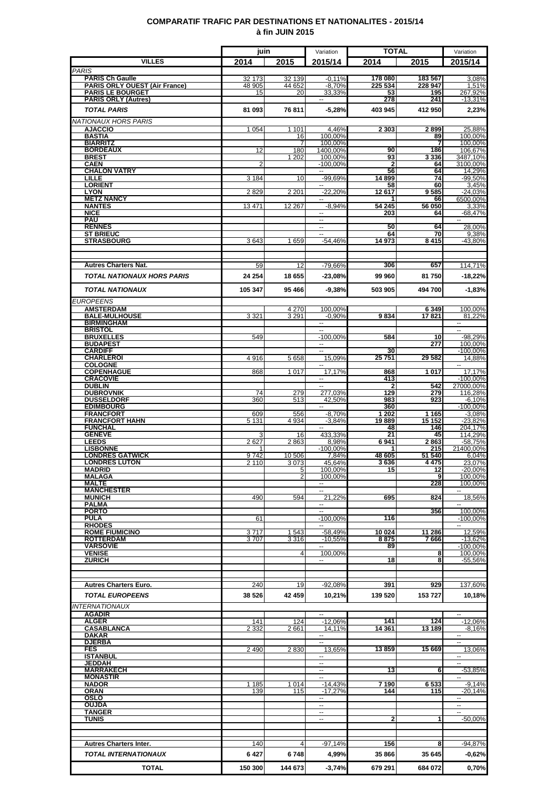### **COMPARATIF TRAFIC PAR DESTINATIONS ET NATIONALITES - 2015/14 à fin JUIN 2015**

|                                                       | juin            |                | Variation                              | <b>TOTAL</b>       |                   | Variation                          |
|-------------------------------------------------------|-----------------|----------------|----------------------------------------|--------------------|-------------------|------------------------------------|
| <b>VILLES</b>                                         | 2014            | 2015           | 2015/14                                | 2014               | 2015              | 2015/14                            |
| <b>PARIS</b><br><b>PARIS Ch Gaulle</b>                | 32 173          | 32 139         | $-0.11%$                               | 178 080            | 183 567           | 3,08%                              |
| <b>PARIS ORLY OUEST (Air France)</b>                  | 48 905          | 44 652         | $-8,70%$                               | 225 534            | 228 947           | 1,51%                              |
| <b>PARIS LE BOURGET</b><br><b>PARIS ORLY (Autres)</b> | 15              | 20             | 33.33%                                 | 53<br>278          | 195<br>241        | 267.92%<br>$-13,31%$               |
| <b>TOTAL PARIS</b>                                    | 81 093          | 76811          | $-5,28%$                               | 403 945            | 412 950           | 2,23%                              |
| <b>NATIONAUX HORS PARIS</b>                           |                 |                |                                        |                    |                   |                                    |
| <b>AJACCIO</b>                                        | 1 0 5 4         | 1 1 0 1        | 4,46%                                  | 2 3 0 3            | 2899              | 25,88%                             |
| <b>BASTIA</b><br><b>BIARRITZ</b>                      |                 | 16<br>7        | 100,00%<br>100.00%                     |                    | 89<br>7           | 100,00%<br>100,00%                 |
| <b>BORDEAUX</b>                                       | 12              | 180            | 1400,00%                               | 90                 | 186               | 106,67%                            |
| <b>BREST</b><br><b>CAEN</b>                           | 2               | 1 202          | 100,00%<br>$-100.00%$                  | 93<br>$\mathbf{2}$ | 3 3 3 6<br>64     | 3487,10%<br>3100,00%               |
| <b>CHALON VATRY</b>                                   |                 |                | ۰.                                     | 56                 | 64                | 14,29%                             |
| LILLE<br><b>LORIENT</b>                               | 3 1 8 4         | 10             | $-99,69%$                              | 14 8 99<br>58      | 74<br>60          | $-99,50%$<br>3,45%                 |
| <b>LYON</b>                                           | 2829            | 2 2 0 1        | $-22,20%$                              | 12617              | 9585              | $-24,03%$                          |
| <b>METZ NANCY</b><br><b>NANTES</b>                    | 13 4 71         | 12 267         | --<br>$-8,94%$                         | 54 245             | 66<br>56 050      | 6500,00%<br>3,33%                  |
| <b>NICE</b>                                           |                 |                |                                        | 203                | 64                | $-68,47%$                          |
| <b>PAU</b><br><b>RENNES</b>                           |                 |                | н.                                     | 50                 | 64                | 28,00%                             |
| <b>ST BRIEUC</b>                                      |                 |                | H                                      | 64                 | 70                | 9,38%                              |
| <b>STRASBOURG</b>                                     | 3643            | 1659           | $-54,46%$                              | 14 973             | 8415              | $-43,80%$                          |
|                                                       |                 |                |                                        |                    |                   |                                    |
| <b>Autres Charters Nat.</b>                           | 59              | 12             | -79,66%                                | 306                | 657               | 114.71%                            |
| <b>TOTAL NATIONAUX HORS PARIS</b>                     | 24 254          | 18 655         | $-23,08%$                              | 99 960             | 81750             | $-18,22%$                          |
| <b>TOTAL NATIONAUX</b>                                | 105 347         | 95 466         | $-9,38%$                               | 503 905            | 494 700           | $-1,83%$                           |
| <b>EUROPEENS</b>                                      |                 |                |                                        |                    |                   |                                    |
| <b>AMSTERDAM</b>                                      |                 | 4 2 7 0        | 100.00%                                |                    | 6 3 4 9           | 100,00%                            |
| <b>BALE-MULHOUSE</b><br><b>BIRMINGHAM</b>             | 3 3 2 1         | 3 2 9 1        | $-0.90%$<br>--                         | 9834               | 17821             | 81,22%<br>$\overline{\phantom{a}}$ |
| <b>BRISTOL</b>                                        |                 |                |                                        |                    |                   |                                    |
| <b>BRUXELLES</b><br><b>BUDAPEST</b>                   | 549             |                | $-100,00%$<br>$\overline{\phantom{a}}$ | 584                | 10<br>277         | $-98,29%$<br>100,00%               |
| <b>CARDIFF</b>                                        |                 |                | ۰.                                     | 30                 |                   | -100,00%                           |
| <b>CHARLEROI</b><br><b>COLOGNE</b>                    | 4916            | 5658           | 15.09%                                 | 25 751             | 29 582            | 14.88%                             |
| <b>COPENHAGUE</b><br><b>CRACOVIE</b>                  | 868             | 1 0 1 7        | 17.17%                                 | 868                | 1017              | 17,17%                             |
| <b>DUBLIN</b>                                         |                 |                | $\sim$                                 | 413<br>2           | 542               | $-100,00%$<br>27000,00%            |
| <b>DUBROVNIK</b><br><b>DUSSELDORF</b>                 | 74<br>360       | 279<br>513     | 277,03%<br>42.50%                      | 129<br>983         | 279<br>923        | 116,28%<br>$-6,10%$                |
| <b>EDIMBOURG</b>                                      |                 |                | $\overline{\phantom{a}}$               | 360                |                   | $-100,00%$                         |
| <b>FRANCFORT</b><br><b>FRANCFORT HAHN</b>             | 609<br>5 1 3 1  | 556<br>4 9 3 4 | $-8.70%$<br>$-3,84%$                   | 1 202<br>19889     | 1 1 6 5<br>15 152 | $-3,08%$<br>$-23,82%$              |
| <b>FUNCHAL</b>                                        |                 |                | $\overline{\phantom{a}}$               | 48                 | 146               | 204,17%                            |
| <b>GENEVE</b><br><b>LEEDS</b>                         | 2627            | 16<br>2863     | 433,33%<br>8,98%                       | 21<br>6941         | 45<br>2863        | 114.29%<br>$-58,75%$               |
| <b>LISBONNE</b>                                       |                 |                | $-100,00%$                             |                    | 215               | 21400,00%                          |
| <b>LONDRES GATWICK</b><br><b>LONDRES LUTON</b>        | 9742<br>2 1 1 0 | 10 506<br>3073 | 7,84%<br>45,64%                        | 48 605<br>3636     | 51 540<br>4475    | 6,04%<br>23,07%                    |
| <b>MADRID</b>                                         |                 | 5              | 100,00%                                | 15                 | 12                | $-20,00%$                          |
| <b>MALAGA</b><br><b>MALTE</b>                         |                 | 2              | 100,00%<br>−−                          |                    | 9<br>228          | 100,00%<br>100,00%                 |
| <b>MANCHESTER</b>                                     |                 |                |                                        |                    |                   |                                    |
| <b>MUNICH</b><br><b>PALMA</b>                         | 490             | 594            | 21.22%                                 | 695                | 824               | 18,56%                             |
| <b>PORTO</b>                                          |                 |                | --                                     |                    | 356               | 100,00%                            |
| <b>PULA</b><br><b>RHODES</b>                          | 61              |                | $-100,00%$<br>۰.                       | 116                |                   | $-100,00%$<br>۰.                   |
| <b>ROME FIUMICINO</b>                                 | 3717            | 1 5 4 3        | $-58.49%$                              | 10 024             | 11 286            | 12,59%                             |
| <b>ROTTERDAM</b><br><b>VARSOVIE</b>                   | 3707            | 3316           | $-10,55%$                              | 8875<br>89         | 7666              | $-13,62%$<br>$-100.00\%$           |
| <b>VENISE</b>                                         |                 | 4              | 100,00%                                |                    | 8                 | 100,00%                            |
| <b>ZURICH</b>                                         |                 |                |                                        | 18                 | 8                 | $-55,56%$                          |
|                                                       |                 |                |                                        |                    |                   |                                    |
| <b>Autres Charters Euro.</b>                          | 240             | 19             | $-92.08%$                              | 391                | 929               | 137,60%                            |
| <b>TOTAL EUROPEENS</b>                                | 38 526          | 42 459         | 10,21%                                 | 139 520            | 153727            | 10,18%                             |
| <b>INTERNATIONAUX</b>                                 |                 |                |                                        |                    |                   |                                    |
| <b>AGADIR</b><br><b>ALGER</b>                         | 141             | 124            | $-12,06%$                              | 141                | 124               | $-12,06%$                          |
| <b>CASABLANCA</b>                                     | 2 3 3 2         | 2661           | 14,11%                                 | 14 361             | 13 189            | $-8,16%$                           |
| <b>DAKAR</b><br><b>DJERBA</b>                         |                 |                | −−<br>$\overline{a}$                   |                    |                   | $\overline{\phantom{a}}$           |
| <b>FES</b>                                            | 2 4 9 0         | 2830           | 13,65%                                 | 13859              | 15 669            | 13,06%                             |
| <b>ISTANBUL</b><br>JEDDAH                             |                 |                | --                                     |                    |                   | ۰.                                 |
| <b>MARRAKECH</b>                                      |                 |                | $\overline{\phantom{a}}$               | 13                 | 6                 | $-53,85%$                          |
| <b>MONASTIR</b><br><b>NADOR</b>                       | 1 185           | 1014           | ۰.<br>$-14,43%$                        | 7 190              | 6533              | $\sim$<br>$-9,14%$                 |
| <b>ORAN</b>                                           | 139             | 115            | $-17.27%$                              | 144                | 115               | $-20,14%$                          |
| <b>OSLO</b><br><b>OUJDA</b>                           |                 |                | $\overline{a}$<br>--                   |                    |                   |                                    |
| <b>TANGER</b>                                         |                 |                |                                        |                    |                   |                                    |
| <b>TUNIS</b>                                          |                 |                | $\overline{a}$                         | 2                  |                   | $-50,00%$                          |
|                                                       |                 |                |                                        |                    |                   |                                    |
| <b>Autres Charters Inter.</b>                         | 140             | 4              | $-97,14%$                              | 156                | 8                 | $-94,87%$                          |
| <b>TOTAL INTERNATIONAUX</b>                           | 6427            | 6748           | 4,99%                                  | 35866              | 35 645            | $-0,62%$                           |
| <b>TOTAL</b>                                          | 150 300         | 144 673        | $-3,74%$                               | 679 291            | 684 072           | 0,70%                              |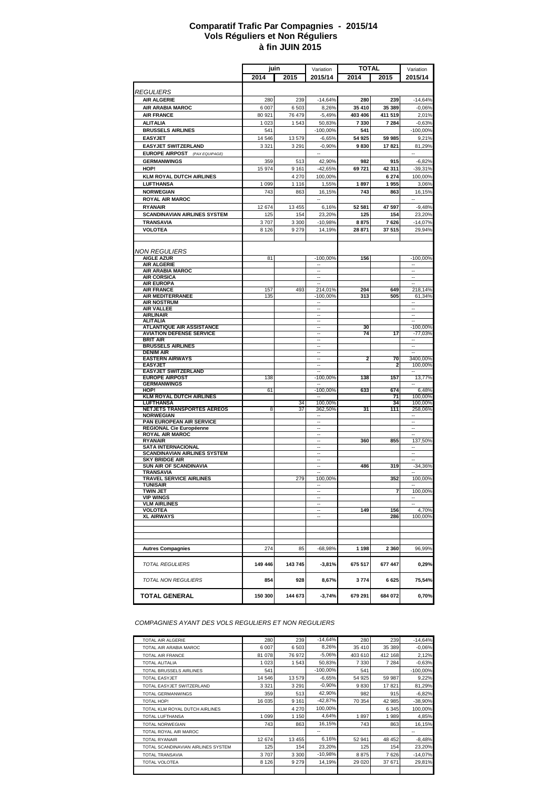#### **à fin JUIN 2015 Comparatif Trafic Par Compagnies - 2015/14 Vols Réguliers et Non Réguliers**

|                                                                  |         |         |                          | TOTAL   |           |                          |
|------------------------------------------------------------------|---------|---------|--------------------------|---------|-----------|--------------------------|
|                                                                  | juin    |         | Variation                |         |           | Variation                |
|                                                                  | 2014    | 2015    | 2015/14                  | 2014    | 2015      | 2015/14                  |
| <b>REGULIERS</b>                                                 |         |         |                          |         |           |                          |
|                                                                  |         |         |                          |         |           |                          |
| <b>AIR ALGERIE</b>                                               | 280     | 239     | $-14,64%$                | 280     | 239       | $-14,64%$                |
| <b>AIR ARABIA MAROC</b>                                          | 6 007   | 6 503   | 8,26%                    | 35 410  | 35 389    | $-0,06%$                 |
| <b>AIR FRANCE</b>                                                | 80 921  | 76 479  | $-5,49%$                 | 403 406 | 411 519   | 2,01%                    |
| <b>ALITALIA</b>                                                  | 1 0 2 3 | 1 5 4 3 | 50,83%                   | 7330    | 7 2 8 4   | $-0,63%$                 |
| <b>BRUSSELS AIRLINES</b>                                         | 541     |         | $-100,00%$               | 541     |           | $-100,00%$               |
| <b>EASYJET</b>                                                   | 14 546  | 13 579  | $-6,65%$                 | 54 925  | 59 985    | 9,21%                    |
| <b>EASYJET SWITZERLAND</b>                                       | 3 3 2 1 | 3 2 9 1 | $-0.90%$                 | 9830    | 17821     | 81,29%                   |
| <b>EUROPE AIRPOST</b> (PAX EQUIPAGE)                             |         |         | $\sim$                   |         |           | $\sim$                   |
| <b>GERMANWINGS</b>                                               | 359     | 513     | 42,90%                   | 982     | 915       | $-6,82%$                 |
| HOP!                                                             | 15 974  | 9 1 6 1 | $-42,65%$                | 69721   | 42 311    | $-39,31%$                |
| <b>KLM ROYAL DUTCH AIRLINES</b>                                  |         | 4 2 7 0 | 100,00%                  |         | 6 274     | 100.00%                  |
| <b>LUFTHANSA</b>                                                 | 1 0 9 9 | 1 1 1 6 | 1,55%                    | 1897    | 1955      | 3,06%                    |
| <b>NORWEGIAN</b>                                                 | 743     | 863     | 16,15%                   | 743     | 863       | 16,15%                   |
|                                                                  |         |         |                          |         |           |                          |
| <b>ROYAL AIR MAROC</b>                                           |         |         |                          |         |           |                          |
| <b>RYANAIR</b>                                                   | 12 674  | 13 455  | 6,16%                    | 52 581  | 47 597    | $-9,48%$                 |
| <b>SCANDINAVIAN AIRLINES SYSTEM</b>                              | 125     | 154     | 23,20%                   | 125     | 154       | 23,20%                   |
| <b>TRANSAVIA</b>                                                 | 3707    | 3 3 0 0 | $-10,98%$                | 8875    | 7626      | $-14,07%$                |
| <b>VOLOTEA</b>                                                   | 8 1 2 6 | 9 2 7 9 | 14,19%                   | 28 871  | 37 515    | 29,94%                   |
|                                                                  |         |         |                          |         |           |                          |
|                                                                  |         |         |                          |         |           |                          |
| <b>NON REGULIERS</b>                                             |         |         |                          |         |           |                          |
| <b>AIGLE AZUR</b>                                                | 81      |         | $-100,00%$               | 156     |           | $-100,00%$               |
| <b>AIR ALGERIE</b>                                               |         |         | ٠.                       |         |           | ٠.                       |
| <b>AIR ARABIA MAROC</b><br><b>AIR CORSICA</b>                    |         |         | н.<br>٠.                 |         |           | $\ddotsc$<br>۰.          |
| <b>AIR EUROPA</b>                                                |         |         |                          |         |           | ٠.                       |
| <b>AIR FRANCE</b>                                                | 157     | 493     | 214,01%                  | 204     | 649       | 218,14%                  |
| <b>AIR MEDITERRANEE</b>                                          | 135     |         | $-100,00%$               | 313     | 505       | 61,34%                   |
| <b>AIR NOSTRUM</b>                                               |         |         |                          |         |           |                          |
| <b>AIR VALLEE</b>                                                |         |         |                          |         |           | ٠.                       |
| <b>AIRLINAIR</b>                                                 |         |         |                          |         |           |                          |
| <b>ALITALIA</b>                                                  |         |         | $\overline{\phantom{a}}$ |         |           | $\overline{\phantom{a}}$ |
| <b>ATLANTIQUE AIR ASSISTANCE</b>                                 |         |         | н.                       | 30      |           | $-100,00%$               |
| <b>AVIATION DEFENSE SERVICE</b><br><b>BRIT AIR</b>               |         |         | $\overline{\phantom{a}}$ | 74      | 17        | -77,03%                  |
| <b>BRUSSELS AIRLINES</b>                                         |         |         | $\overline{\phantom{a}}$ |         |           | н.<br>$\ddotsc$          |
| <b>DENIM AIR</b>                                                 |         |         |                          |         |           |                          |
| <b>EASTERN AIRWAYS</b>                                           |         |         | Ξ.                       | 2       | 70        | 3400,00%                 |
| <b>EASYJET</b>                                                   |         |         | $\sim$                   |         |           | 100,00%                  |
| <b>EASYJET SWITZERLAND</b>                                       |         |         |                          |         |           | ٠.                       |
| <b>EUROPE AIRPOST</b>                                            | 138     |         | $-100,00%$               | 138     | 157       | 13,77%                   |
| <b>GERMANWINGS</b>                                               |         |         |                          |         |           | ä,                       |
| HOP!<br><b>KLM ROYAL DUTCH AIRLINES</b>                          | 61      |         | $-100,00%$               | 633     | 674<br>71 | 6,48%<br>100,00%         |
| <b>LUFTHANSA</b>                                                 |         | 34      | 100,00%                  |         | 34        | 100,00%                  |
| <b>NETJETS TRANSPORTES AEREOS</b>                                | 8       | 37      | 362,50%                  | 31      | 111       | 258,06%                  |
| <b>NORWEGIAN</b>                                                 |         |         |                          |         |           |                          |
| PAN EUROPEAN AIR SERVICE                                         |         |         | Ξ.                       |         |           | ٠.                       |
| <b>REGIONAL Cie Européenne</b>                                   |         |         | н.                       |         |           | $\ddotsc$                |
| <b>ROYAL AIR MAROC</b>                                           |         |         | ä,                       |         |           | ä,                       |
| <b>RYANAIR</b>                                                   |         |         | ÷.                       | 360     | 855       | 137,50%                  |
| <b>SATA INTERNACIONAL</b><br><b>SCANDINAVIAN AIRLINES SYSTEM</b> |         |         | $\overline{\phantom{a}}$ |         |           | $\overline{\phantom{a}}$ |
| <b>SKY BRIDGE AIR</b>                                            |         |         |                          |         |           |                          |
| <b>SUN AIR OF SCANDINAVIA</b>                                    |         |         | $\overline{a}$           | 486     | 319       | $-34,36%$                |
| <b>TRANSAVIA</b>                                                 |         |         |                          |         |           |                          |
| <b>TRAVEL SERVICE AIRLINES</b>                                   |         | 279     | 100,00%                  |         | 352       | 100,00%                  |
| TUNISAIR                                                         |         |         |                          |         |           |                          |
| TWIN JET                                                         |         |         | ٠.                       |         |           | 100,00%                  |
| <b>VIP WINGS</b><br><b>VLM AIRLINES</b>                          |         |         | $\overline{\phantom{a}}$ |         |           | ÷<br>۰.                  |
| <b>VOLOTEA</b>                                                   |         |         |                          | 149     | 156       | 4,70%                    |
| <b>XL AIRWAYS</b>                                                |         |         | ۰.                       |         | 286       | 100,00%                  |
|                                                                  |         |         |                          |         |           |                          |
|                                                                  |         |         |                          |         |           |                          |
|                                                                  |         |         |                          |         |           |                          |
|                                                                  |         |         |                          |         |           |                          |
| <b>Autres Compagnies</b>                                         | 274     | 85      | $-68,98%$                | 1 1 9 8 | 2 3 6 0   | 96,99%                   |
|                                                                  |         |         |                          |         |           |                          |
| <b>TOTAL REGULIERS</b>                                           | 149 446 | 143 745 | $-3,81%$                 | 675 517 | 677 447   | 0,29%                    |
|                                                                  |         |         |                          |         |           |                          |
| TOTAL NON REGULIERS                                              | 854     | 928     | 8,67%                    | 3774    | 6625      | 75,54%                   |
|                                                                  |         |         |                          |         |           |                          |
| <b>TOTAL GENERAL</b>                                             | 150 300 | 144 673 | $-3,74%$                 | 679 291 | 684 072   | 0,70%                    |
|                                                                  |         |         |                          |         |           |                          |

*COMPAGNIES AYANT DES VOLS REGULIERS ET NON REGULIERS*

| <b>TOTAL AIR ALGERIE</b>           | 280     | 239     | $-14.64%$   | 280     | 239     | $-14,64%$  |
|------------------------------------|---------|---------|-------------|---------|---------|------------|
| TOTAL AIR ARABIA MAROC             | 6 0 0 7 | 6 5 0 3 | 8,26%       | 35 410  | 35 389  | $-0.06%$   |
| <b>TOTAL AIR FRANCE</b>            | 81 078  | 76 972  | $-5,06%$    | 403 610 | 412 168 | 2,12%      |
| <b>TOTAL ALITALIA</b>              | 1 0 2 3 | 1 5 4 3 | 50,83%      | 7 3 3 0 | 7 2 8 4 | $-0.63%$   |
| TOTAL BRUSSELS AIRLINES            | 541     |         | $-100.00\%$ | 541     |         | $-100,00%$ |
| <b>TOTAL EASYJET</b>               | 14 546  | 13 579  | $-6,65%$    | 54 925  | 59 987  | 9,22%      |
| TOTAL EASYJET SWITZERLAND          | 3 3 2 1 | 3 2 9 1 | $-0,90%$    | 9830    | 17821   | 81,29%     |
| <b>TOTAL GERMANWINGS</b>           | 359     | 513     | 42,90%      | 982     | 915     | $-6,82%$   |
| TOTAL HOP!                         | 16 035  | 9 1 6 1 | $-42,87%$   | 70 354  | 42 985  | $-38,90%$  |
| TOTAL KLM ROYAL DUTCH AIRLINES     |         | 4 2 7 0 | 100.00%     |         | 6 3 4 5 | 100,00%    |
| <b>TOTAL LUFTHANSA</b>             | 1 0 9 9 | 1 1 5 0 | 4,64%       | 1897    | 1989    | 4,85%      |
| <b>TOTAL NORWEGIAN</b>             | 743     | 863     | 16,15%      | 743     | 863     | 16,15%     |
| TOTAL ROYAL AIR MAROC              |         |         | --          |         |         | --         |
| <b>TOTAL RYANAIR</b>               | 12 674  | 13 455  | 6,16%       | 52 941  | 48 452  | $-8,48%$   |
| TOTAL SCANDINAVIAN AIRLINES SYSTEM | 125     | 154     | 23,20%      | 125     | 154     | 23,20%     |
| <b>TOTAL TRANSAVIA</b>             | 3707    | 3 3 0 0 | $-10,98%$   | 8875    | 7626    | $-14,07%$  |
| <b>TOTAL VOLOTEA</b>               | 8 1 2 6 | 9 2 7 9 | 14,19%      | 29 0 20 | 37 671  | 29,81%     |
|                                    |         |         |             |         |         |            |